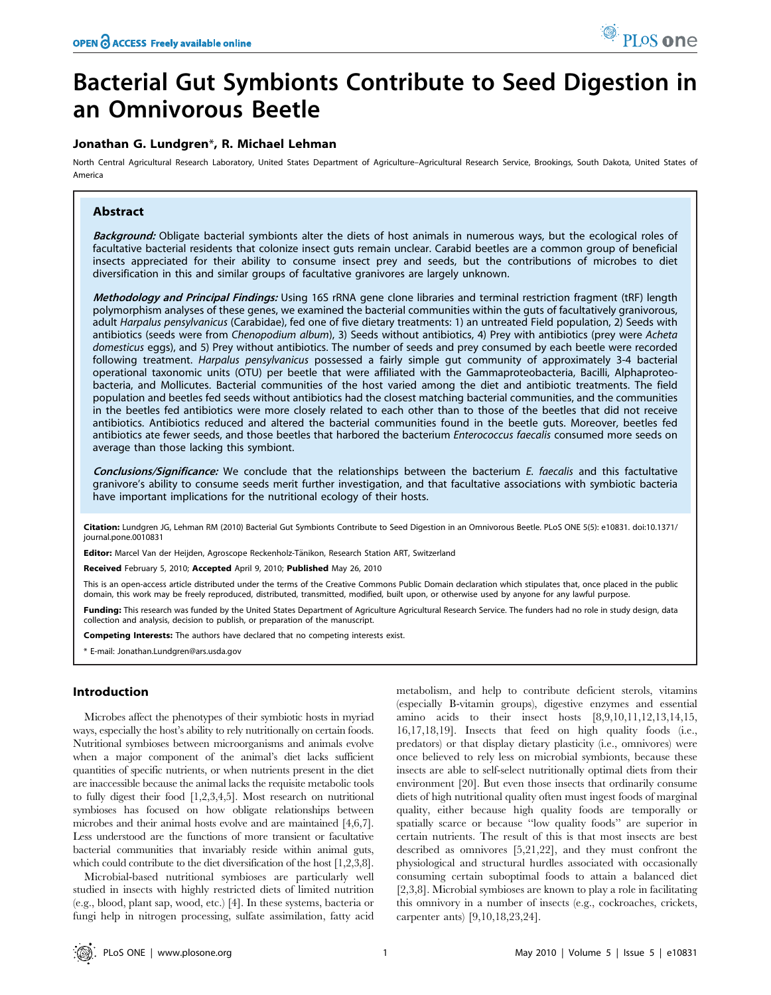# Bacterial Gut Symbionts Contribute to Seed Digestion in an Omnivorous Beetle

# Jonathan G. Lundgren\*, R. Michael Lehman

North Central Agricultural Research Laboratory, United States Department of Agriculture–Agricultural Research Service, Brookings, South Dakota, United States of America

# Abstract

Background: Obligate bacterial symbionts alter the diets of host animals in numerous ways, but the ecological roles of facultative bacterial residents that colonize insect guts remain unclear. Carabid beetles are a common group of beneficial insects appreciated for their ability to consume insect prey and seeds, but the contributions of microbes to diet diversification in this and similar groups of facultative granivores are largely unknown.

Methodology and Principal Findings: Using 16S rRNA gene clone libraries and terminal restriction fragment (tRF) length polymorphism analyses of these genes, we examined the bacterial communities within the guts of facultatively granivorous, adult Harpalus pensylvanicus (Carabidae), fed one of five dietary treatments: 1) an untreated Field population, 2) Seeds with antibiotics (seeds were from Chenopodium album), 3) Seeds without antibiotics, 4) Prey with antibiotics (prey were Acheta domesticus eggs), and 5) Prey without antibiotics. The number of seeds and prey consumed by each beetle were recorded following treatment. Harpalus pensylvanicus possessed a fairly simple gut community of approximately 3-4 bacterial operational taxonomic units (OTU) per beetle that were affiliated with the Gammaproteobacteria, Bacilli, Alphaproteobacteria, and Mollicutes. Bacterial communities of the host varied among the diet and antibiotic treatments. The field population and beetles fed seeds without antibiotics had the closest matching bacterial communities, and the communities in the beetles fed antibiotics were more closely related to each other than to those of the beetles that did not receive antibiotics. Antibiotics reduced and altered the bacterial communities found in the beetle guts. Moreover, beetles fed antibiotics ate fewer seeds, and those beetles that harbored the bacterium Enterococcus faecalis consumed more seeds on average than those lacking this symbiont.

Conclusions/Significance: We conclude that the relationships between the bacterium E. faecalis and this factultative granivore's ability to consume seeds merit further investigation, and that facultative associations with symbiotic bacteria have important implications for the nutritional ecology of their hosts.

Citation: Lundgren JG, Lehman RM (2010) Bacterial Gut Symbionts Contribute to Seed Digestion in an Omnivorous Beetle. PLoS ONE 5(5): e10831. doi:10.1371/ journal.pone.0010831

Editor: Marcel Van der Heijden, Agroscope Reckenholz-Tänikon, Research Station ART, Switzerland

Received February 5, 2010; Accepted April 9, 2010; Published May 26, 2010

This is an open-access article distributed under the terms of the Creative Commons Public Domain declaration which stipulates that, once placed in the public domain, this work may be freely reproduced, distributed, transmitted, modified, built upon, or otherwise used by anyone for any lawful purpose.

Funding: This research was funded by the United States Department of Agriculture Agricultural Research Service. The funders had no role in study design, data collection and analysis, decision to publish, or preparation of the manuscript.

Competing Interests: The authors have declared that no competing interests exist.

\* E-mail: Jonathan.Lundgren@ars.usda.gov

# Introduction

Microbes affect the phenotypes of their symbiotic hosts in myriad ways, especially the host's ability to rely nutritionally on certain foods. Nutritional symbioses between microorganisms and animals evolve when a major component of the animal's diet lacks sufficient quantities of specific nutrients, or when nutrients present in the diet are inaccessible because the animal lacks the requisite metabolic tools to fully digest their food [1,2,3,4,5]. Most research on nutritional symbioses has focused on how obligate relationships between microbes and their animal hosts evolve and are maintained [4,6,7]. Less understood are the functions of more transient or facultative bacterial communities that invariably reside within animal guts, which could contribute to the diet diversification of the host  $[1,2,3,8]$ .

Microbial-based nutritional symbioses are particularly well studied in insects with highly restricted diets of limited nutrition (e.g., blood, plant sap, wood, etc.) [4]. In these systems, bacteria or fungi help in nitrogen processing, sulfate assimilation, fatty acid metabolism, and help to contribute deficient sterols, vitamins (especially B-vitamin groups), digestive enzymes and essential amino acids to their insect hosts [8,9,10,11,12,13,14,15, 16,17,18,19]. Insects that feed on high quality foods (i.e., predators) or that display dietary plasticity (i.e., omnivores) were once believed to rely less on microbial symbionts, because these insects are able to self-select nutritionally optimal diets from their environment [20]. But even those insects that ordinarily consume diets of high nutritional quality often must ingest foods of marginal quality, either because high quality foods are temporally or spatially scarce or because ''low quality foods'' are superior in certain nutrients. The result of this is that most insects are best described as omnivores [5,21,22], and they must confront the physiological and structural hurdles associated with occasionally consuming certain suboptimal foods to attain a balanced diet [2,3,8]. Microbial symbioses are known to play a role in facilitating this omnivory in a number of insects (e.g., cockroaches, crickets, carpenter ants) [9,10,18,23,24].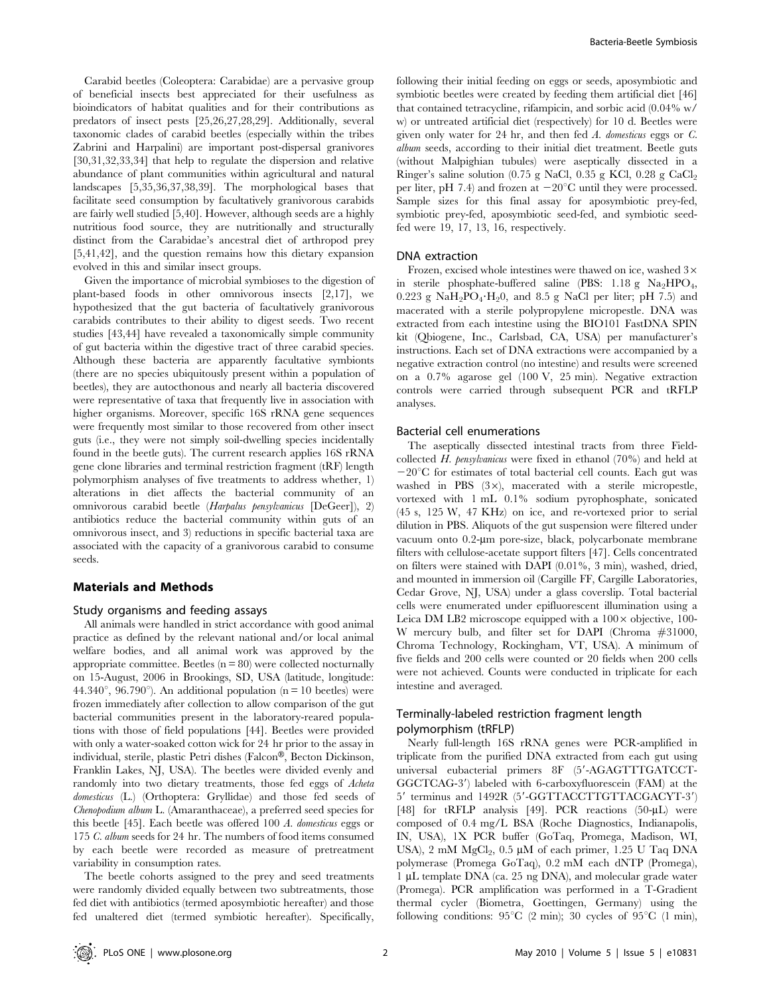Carabid beetles (Coleoptera: Carabidae) are a pervasive group of beneficial insects best appreciated for their usefulness as bioindicators of habitat qualities and for their contributions as predators of insect pests [25,26,27,28,29]. Additionally, several taxonomic clades of carabid beetles (especially within the tribes Zabrini and Harpalini) are important post-dispersal granivores [30,31,32,33,34] that help to regulate the dispersion and relative abundance of plant communities within agricultural and natural landscapes [5,35,36,37,38,39]. The morphological bases that facilitate seed consumption by facultatively granivorous carabids are fairly well studied [5,40]. However, although seeds are a highly nutritious food source, they are nutritionally and structurally distinct from the Carabidae's ancestral diet of arthropod prey [5,41,42], and the question remains how this dietary expansion evolved in this and similar insect groups.

Given the importance of microbial symbioses to the digestion of plant-based foods in other omnivorous insects [2,17], we hypothesized that the gut bacteria of facultatively granivorous carabids contributes to their ability to digest seeds. Two recent studies [43,44] have revealed a taxonomically simple community of gut bacteria within the digestive tract of three carabid species. Although these bacteria are apparently facultative symbionts (there are no species ubiquitously present within a population of beetles), they are autocthonous and nearly all bacteria discovered were representative of taxa that frequently live in association with higher organisms. Moreover, specific 16S rRNA gene sequences were frequently most similar to those recovered from other insect guts (i.e., they were not simply soil-dwelling species incidentally found in the beetle guts). The current research applies 16S rRNA gene clone libraries and terminal restriction fragment (tRF) length polymorphism analyses of five treatments to address whether, 1) alterations in diet affects the bacterial community of an omnivorous carabid beetle (Harpalus pensylvanicus [DeGeer]), 2) antibiotics reduce the bacterial community within guts of an omnivorous insect, and 3) reductions in specific bacterial taxa are associated with the capacity of a granivorous carabid to consume seeds.

#### Materials and Methods

# Study organisms and feeding assays

All animals were handled in strict accordance with good animal practice as defined by the relevant national and/or local animal welfare bodies, and all animal work was approved by the appropriate committee. Beetles  $(n = 80)$  were collected nocturnally on 15-August, 2006 in Brookings, SD, USA (latitude, longitude: 44.340 $^{\circ}$ , 96.790 $^{\circ}$ ). An additional population (n = 10 beetles) were frozen immediately after collection to allow comparison of the gut bacterial communities present in the laboratory-reared populations with those of field populations [44]. Beetles were provided with only a water-soaked cotton wick for 24 hr prior to the assay in individual, sterile, plastic Petri dishes (Falcon®, Becton Dickinson, Franklin Lakes, NJ, USA). The beetles were divided evenly and randomly into two dietary treatments, those fed eggs of Acheta domesticus (L.) (Orthoptera: Gryllidae) and those fed seeds of Chenopodium album L. (Amaranthaceae), a preferred seed species for this beetle [45]. Each beetle was offered 100 A. domesticus eggs or 175 C. album seeds for 24 hr. The numbers of food items consumed by each beetle were recorded as measure of pretreatment variability in consumption rates.

The beetle cohorts assigned to the prey and seed treatments were randomly divided equally between two subtreatments, those fed diet with antibiotics (termed aposymbiotic hereafter) and those fed unaltered diet (termed symbiotic hereafter). Specifically,

following their initial feeding on eggs or seeds, aposymbiotic and symbiotic beetles were created by feeding them artificial diet [46] that contained tetracycline, rifampicin, and sorbic acid (0.04% w/ w) or untreated artificial diet (respectively) for 10 d. Beetles were given only water for 24 hr, and then fed A. domesticus eggs or C. album seeds, according to their initial diet treatment. Beetle guts (without Malpighian tubules) were aseptically dissected in a Ringer's saline solution  $(0.75 \text{ g NaCl}, 0.35 \text{ g KCl}, 0.28 \text{ g CaCl}_2)$ per liter, pH 7.4) and frozen at  $-20^{\circ}$ C until they were processed. Sample sizes for this final assay for aposymbiotic prey-fed, symbiotic prey-fed, aposymbiotic seed-fed, and symbiotic seedfed were 19, 17, 13, 16, respectively.

#### DNA extraction

Frozen, excised whole intestines were thawed on ice, washed  $3\times$ in sterile phosphate-buffered saline (PBS:  $1.18 \text{ g}$  Na<sub>2</sub>HPO<sub>4</sub>,  $0.223$  g NaH<sub>2</sub>PO<sub>4</sub> $\cdot$ H<sub>2</sub>0, and 8.5 g NaCl per liter; pH 7.5) and macerated with a sterile polypropylene micropestle. DNA was extracted from each intestine using the BIO101 FastDNA SPIN kit (Qbiogene, Inc., Carlsbad, CA, USA) per manufacturer's instructions. Each set of DNA extractions were accompanied by a negative extraction control (no intestine) and results were screened on a 0.7% agarose gel (100 V, 25 min). Negative extraction controls were carried through subsequent PCR and tRFLP analyses.

## Bacterial cell enumerations

The aseptically dissected intestinal tracts from three Fieldcollected H. pensylvanicus were fixed in ethanol (70%) and held at  $-20^{\circ}$ C for estimates of total bacterial cell counts. Each gut was washed in PBS  $(3\times)$ , macerated with a sterile micropestle, vortexed with 1 mL 0.1% sodium pyrophosphate, sonicated (45 s, 125 W, 47 KHz) on ice, and re-vortexed prior to serial dilution in PBS. Aliquots of the gut suspension were filtered under vacuum onto 0.2-um pore-size, black, polycarbonate membrane filters with cellulose-acetate support filters [47]. Cells concentrated on filters were stained with DAPI (0.01%, 3 min), washed, dried, and mounted in immersion oil (Cargille FF, Cargille Laboratories, Cedar Grove, NJ, USA) under a glass coverslip. Total bacterial cells were enumerated under epifluorescent illumination using a Leica DM LB2 microscope equipped with a  $100 \times$  objective, 100-W mercury bulb, and filter set for DAPI (Chroma #31000, Chroma Technology, Rockingham, VT, USA). A minimum of five fields and 200 cells were counted or 20 fields when 200 cells were not achieved. Counts were conducted in triplicate for each intestine and averaged.

# Terminally-labeled restriction fragment length polymorphism (tRFLP)

Nearly full-length 16S rRNA genes were PCR-amplified in triplicate from the purified DNA extracted from each gut using universal eubacterial primers 8F (5'-AGAGTTTGATCCT-GGCTCAG-3') labeled with 6-carboxyfluorescein (FAM) at the 5' terminus and 1492R (5'-GGTTACCTTGTTACGACYT-3') [48] for tRFLP analysis [49]. PCR reactions (50-µL) were composed of 0.4 mg/L BSA (Roche Diagnostics, Indianapolis, IN, USA), 1X PCR buffer (GoTaq, Promega, Madison, WI, USA), 2 mM MgCl<sub>2</sub>, 0.5 µM of each primer, 1.25 U Taq DNA polymerase (Promega GoTaq), 0.2 mM each dNTP (Promega), 1 mL template DNA (ca. 25 ng DNA), and molecular grade water (Promega). PCR amplification was performed in a T-Gradient thermal cycler (Biometra, Goettingen, Germany) using the following conditions:  $95^{\circ}C$  (2 min); 30 cycles of  $95^{\circ}C$  (1 min),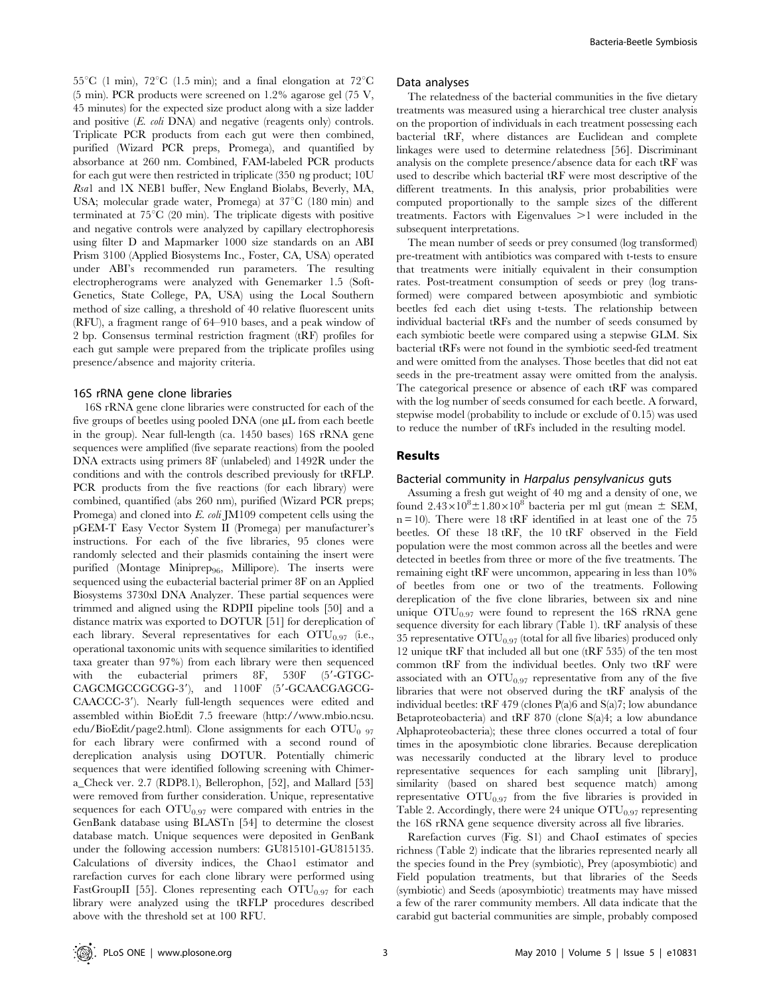$55^{\circ}$ C (1 min),  $72^{\circ}$ C (1.5 min); and a final elongation at  $72^{\circ}$ C (5 min). PCR products were screened on 1.2% agarose gel (75 V, 45 minutes) for the expected size product along with a size ladder and positive (E. coli DNA) and negative (reagents only) controls. Triplicate PCR products from each gut were then combined, purified (Wizard PCR preps, Promega), and quantified by absorbance at 260 nm. Combined, FAM-labeled PCR products for each gut were then restricted in triplicate (350 ng product; 10U Rsa1 and 1X NEB1 buffer, New England Biolabs, Beverly, MA, USA; molecular grade water, Promega) at  $37^{\circ}$ C (180 min) and terminated at  $75^{\circ}$ C (20 min). The triplicate digests with positive and negative controls were analyzed by capillary electrophoresis using filter D and Mapmarker 1000 size standards on an ABI Prism 3100 (Applied Biosystems Inc., Foster, CA, USA) operated under ABI's recommended run parameters. The resulting electropherograms were analyzed with Genemarker 1.5 (Soft-Genetics, State College, PA, USA) using the Local Southern method of size calling, a threshold of 40 relative fluorescent units (RFU), a fragment range of 64–910 bases, and a peak window of 2 bp. Consensus terminal restriction fragment (tRF) profiles for each gut sample were prepared from the triplicate profiles using presence/absence and majority criteria.

#### 16S rRNA gene clone libraries

16S rRNA gene clone libraries were constructed for each of the five groups of beetles using pooled DNA (one  $\mu$ L from each beetle in the group). Near full-length (ca. 1450 bases) 16S rRNA gene sequences were amplified (five separate reactions) from the pooled DNA extracts using primers 8F (unlabeled) and 1492R under the conditions and with the controls described previously for tRFLP. PCR products from the five reactions (for each library) were combined, quantified (abs 260 nm), purified (Wizard PCR preps; Promega) and cloned into E. coli JM109 competent cells using the pGEM-T Easy Vector System II (Promega) per manufacturer's instructions. For each of the five libraries, 95 clones were randomly selected and their plasmids containing the insert were purified (Montage Miniprep<sub>96</sub>, Millipore). The inserts were sequenced using the eubacterial bacterial primer 8F on an Applied Biosystems 3730xl DNA Analyzer. These partial sequences were trimmed and aligned using the RDPII pipeline tools [50] and a distance matrix was exported to DOTUR [51] for dereplication of each library. Several representatives for each  $\mathrm{OTU}_{0.97}$  (i.e., operational taxonomic units with sequence similarities to identified taxa greater than 97%) from each library were then sequenced with the eubacterial primers  $8F$ ,  $530F$  (5'-GTGC-CAGCMGCCGCGG-3'), and 1100F (5'-GCAACGAGCG-CAACCC-3'). Nearly full-length sequences were edited and assembled within BioEdit 7.5 freeware (http://www.mbio.ncsu. edu/BioEdit/page2.html). Clone assignments for each  $\text{OTU}_{0.97}$ for each library were confirmed with a second round of dereplication analysis using DOTUR. Potentially chimeric sequences that were identified following screening with Chimera\_Check ver. 2.7 (RDP8.1), Bellerophon, [52], and Mallard [53] were removed from further consideration. Unique, representative sequences for each  $\text{OTU}_{0.97}$  were compared with entries in the GenBank database using BLASTn [54] to determine the closest database match. Unique sequences were deposited in GenBank under the following accession numbers: GU815101-GU815135. Calculations of diversity indices, the Chao1 estimator and rarefaction curves for each clone library were performed using FastGroupII [55]. Clones representing each  $\mathrm{OTU}_{0.97}$  for each library were analyzed using the tRFLP procedures described above with the threshold set at 100 RFU.

#### Data analyses

The relatedness of the bacterial communities in the five dietary treatments was measured using a hierarchical tree cluster analysis on the proportion of individuals in each treatment possessing each bacterial tRF, where distances are Euclidean and complete linkages were used to determine relatedness [56]. Discriminant analysis on the complete presence/absence data for each tRF was used to describe which bacterial tRF were most descriptive of the different treatments. In this analysis, prior probabilities were computed proportionally to the sample sizes of the different treatments. Factors with Eigenvalues  $>1$  were included in the subsequent interpretations.

The mean number of seeds or prey consumed (log transformed) pre-treatment with antibiotics was compared with t-tests to ensure that treatments were initially equivalent in their consumption rates. Post-treatment consumption of seeds or prey (log transformed) were compared between aposymbiotic and symbiotic beetles fed each diet using t-tests. The relationship between individual bacterial tRFs and the number of seeds consumed by each symbiotic beetle were compared using a stepwise GLM. Six bacterial tRFs were not found in the symbiotic seed-fed treatment and were omitted from the analyses. Those beetles that did not eat seeds in the pre-treatment assay were omitted from the analysis. The categorical presence or absence of each tRF was compared with the log number of seeds consumed for each beetle. A forward, stepwise model (probability to include or exclude of 0.15) was used to reduce the number of tRFs included in the resulting model.

## Results

#### Bacterial community in Harpalus pensylvanicus guts

Assuming a fresh gut weight of 40 mg and a density of one, we found  $2.43 \times 10^8 \pm 1.80 \times 10^8$  bacteria per ml gut (mean  $\pm$  SEM,  $n = 10$ ). There were 18 tRF identified in at least one of the 75 beetles. Of these 18 tRF, the 10 tRF observed in the Field population were the most common across all the beetles and were detected in beetles from three or more of the five treatments. The remaining eight tRF were uncommon, appearing in less than 10% of beetles from one or two of the treatments. Following dereplication of the five clone libraries, between six and nine unique  $\text{OTU}_{0.97}$  were found to represent the 16S rRNA gene sequence diversity for each library (Table 1). tRF analysis of these 35 representative  $\text{OTU}_{0.97}$  (total for all five libaries) produced only 12 unique tRF that included all but one (tRF 535) of the ten most common tRF from the individual beetles. Only two tRF were associated with an  $\text{OTU}_{0.97}$  representative from any of the five libraries that were not observed during the tRF analysis of the individual beetles: tRF 479 (clones P(a)6 and S(a)7; low abundance Betaproteobacteria) and tRF 870 (clone S(a)4; a low abundance Alphaproteobacteria); these three clones occurred a total of four times in the aposymbiotic clone libraries. Because dereplication was necessarily conducted at the library level to produce representative sequences for each sampling unit [library], similarity (based on shared best sequence match) among representative  $\text{OTU}_{0.97}$  from the five libraries is provided in Table 2. Accordingly, there were 24 unique  $\text{OTU}_{0.97}$  representing the 16S rRNA gene sequence diversity across all five libraries.

Rarefaction curves (Fig. S1) and ChaoI estimates of species richness (Table 2) indicate that the libraries represented nearly all the species found in the Prey (symbiotic), Prey (aposymbiotic) and Field population treatments, but that libraries of the Seeds (symbiotic) and Seeds (aposymbiotic) treatments may have missed a few of the rarer community members. All data indicate that the carabid gut bacterial communities are simple, probably composed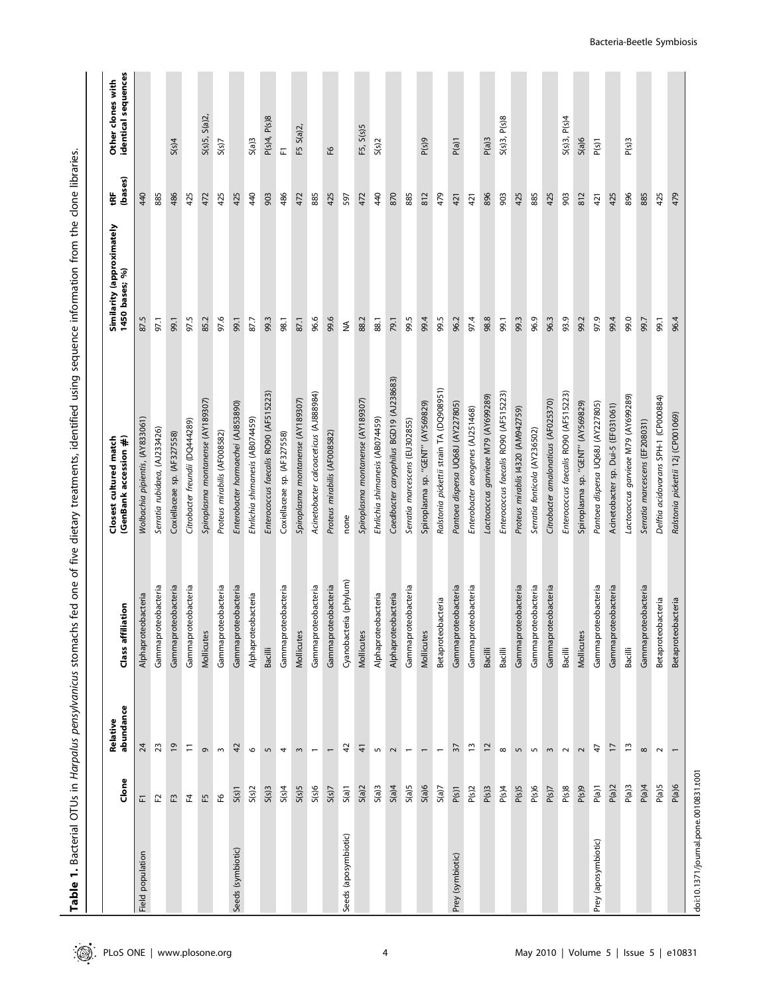|                      | Clone          | abundance<br>Relative    | <b>filiation</b><br>ᅙ<br>Class | Closest cultured match<br>(GenBank accession #) | Similarity (approximately<br>1450 bases; %) | (bases)<br>ŧF | Other clones with<br>identical sequences |
|----------------------|----------------|--------------------------|--------------------------------|-------------------------------------------------|---------------------------------------------|---------------|------------------------------------------|
| population<br>Field  | 됴              | $\overline{5}$           | oteobacteria<br>Alphapro       | Wolbachia pipientis, (AY83306                   | 87.5                                        | 440           |                                          |
|                      | F2             | 23                       | Gammaproteobacteria            | Serratia rubidaea, (AJ233426)                   | 97.1                                        | 885           |                                          |
|                      | $\mathsf{E}^3$ | $\tilde{5}$              | Gammaproteobacteria            | Coxiellaceae sp. (AF327558)                     | 99.1                                        | 486           | S(s)4                                    |
|                      | 면              | Ξ                        | Gammaproteobacteria            | Citrobacter freundii (DQ444289)                 | 97.5                                        | 425           |                                          |
|                      | F5             | $\sigma$                 | Mollicutes                     | Spiroplasma montanense (AY189307)               | 85.2                                        | 472           | S(s)5, S(a)2                             |
|                      | €۹             | $\,$ $\,$                | Gammaproteobacteria            | Proteus mirabilis (AF008582)                    | 97.6                                        | 425           | S(s)                                     |
| Seeds (symbiotic)    | $S(s)$ 1       | $\overline{a}$           | Gammaproteobacteria            | Enterobacter hormaechei (AJ853890)              | 99.1                                        | 425           |                                          |
|                      | S(s)2          | $\circ$                  | Alphaproteobacteria            | Ehrlichia shimanesis (AB074459)                 | 87.7                                        | 440           | S(a)3                                    |
|                      | S(s)3          | $\overline{5}$           | <b>Bacilli</b>                 | Enterococcus faecalis RO90 (AF515223)           | 99.3                                        | 903           | P(s)4, P(s)8                             |
|                      | S(s)4          | 4                        | Gammaproteobacteria            | Coxiellaceae sp. (AF327558)                     | 98.1                                        | 486           | 됴                                        |
|                      | S(s)5          | $\sim$                   | Mollicutes                     | Spiroplasma montanense (AY189307)               | 87.1                                        | 472           | $S(a)2$ ,<br>E                           |
|                      | S(s)6          | $\overline{\phantom{m}}$ | Gammaproteobacteria            | Acinetobacter calcoaceticus (AJ888984)          | 96.6                                        | 885           |                                          |
|                      | S(s)           | $\overline{ }$           | Gammaproteobacteria            | Proteus mirabilis (AF008582)                    | 9.6                                         | 425           | €۹                                       |
| Seeds (aposymbiotic) | $S(a)$ 1       | 42                       | Cyanobacteria (phylum)         | none                                            | $\lessgtr$                                  | 597           |                                          |
|                      | S(a)2          | 4                        | Mollicutes                     | Spiroplasma montanense (AY189307)               | 88.2                                        | 472           | F5, S(s)5                                |
|                      | S(a)3          | 5                        | Alphaproteobacteria            | Ehrlichia shimanesis (AB074459)                 | 88.1                                        | 440           | S(s)2                                    |
|                      | S(a)4          | $\sim$                   | Alphaproteobacteria            | Caedibacter caryophilus BGD19 (AJ238683)        | 79.1                                        | 870           |                                          |
|                      | S(a)S          | $\overline{\phantom{0}}$ | Gammaproteobacteria            | Serratia marcescens (EU302855)                  | 99.5                                        | 885           |                                          |
|                      | S(a)           | $\overline{ }$           | Mollicutes                     | Spiroplasma sp. "GENT" (AY569829)               | 99.4                                        | 812           | P(s)9                                    |
|                      | S(a)           | $\overline{\phantom{m}}$ | Betaproteobacteria             | Ralstonia pickettii strain TA (DQ908951)        | 99.5                                        | 479           |                                          |
| Prey (symbiotic)     | P(s)1          | $\frac{2}{3}$            | Gammaproteobacteria            | Pantoea dispersa UQ68J (AY227805)               | 96.2                                        | 421           | P(a)1                                    |
|                      | P(s)2          | ۳,                       | Gammaproteobacteria            | Enterobacter aerogenes (AJ251468)               | 97.4                                        | 421           |                                          |
|                      | P(S)3          | $\overline{c}$           | Bacilli                        | Lactococcus garvieae M79 (AY699289)             | 98.8                                        | 896           | P(a)3                                    |
|                      | P(s)4          | $\infty$                 | Bacilli                        | Enterococcus faecalis RO90 (AF515223)           | 99.1                                        | 903           | S(s)3, P(s)8                             |
|                      | P(S)5          | $\overline{5}$           | Gammaproteobacteria            | Proteus mirablis 14320 (AM942759)               | 99.3                                        | 425           |                                          |
|                      | P(s)6          | $\mathsf{L}\cap$         | Gammaproteobacteria            | Serratia fonticola (AY236502)                   | 96.9                                        | 885           |                                          |
|                      | P(S)7          | $\sim$                   | Gammaproteobacteria            | Citrobacter amalonaticus (AF025370)             | 96.3                                        | 425           |                                          |
|                      | P(S)8          | $\sim$                   | Bacilli                        | Enterococcus faecalis RO90 (AF515223)           | 93.9                                        | 903           | S(s)3, P(s)4                             |
|                      | P(s)9          | $\sim$                   | Mollicutes                     | Spiroplasma sp. "GENT" (AY569829)               | 99.2                                        | 812           | S(a)6                                    |
| Prey (aposymbiotic)  | P(a)1          | 4                        | Gammaproteobacteria            | Pantoea dispersa UQ68J (AY227805)               | 97.9                                        | 421           | P(s)1                                    |
|                      | P(a)2          | F                        | Gammaproteobacteria            | Acinetobacter sp. Dui-5 (EF031061)              | 99.4                                        | 425           |                                          |
|                      | $P(a)$ 3       | $\frac{1}{2}$            | Bacilli                        | Lactococcus garvieae M79 (AY699289)             | 99.0                                        | 896           | P(S)3                                    |
|                      | P(a)4          | $\infty$                 | Gammaproteobacteria            | Serratia marcescens (EF208031)                  | 99.7                                        | 885           |                                          |
|                      | P(a)5          | $\sim$                   | Betaproteobacteria             | Delftia acidovorans SPH-1 (CP000884)            | 99.1                                        | 425           |                                          |
|                      | P(a)6          | $\overline{ }$           | Betaproteobacteria             | Ralstonia pickettii 12j (CP001069)              | 96.4                                        | 479           |                                          |

Bacteria-Beetle Symbiosis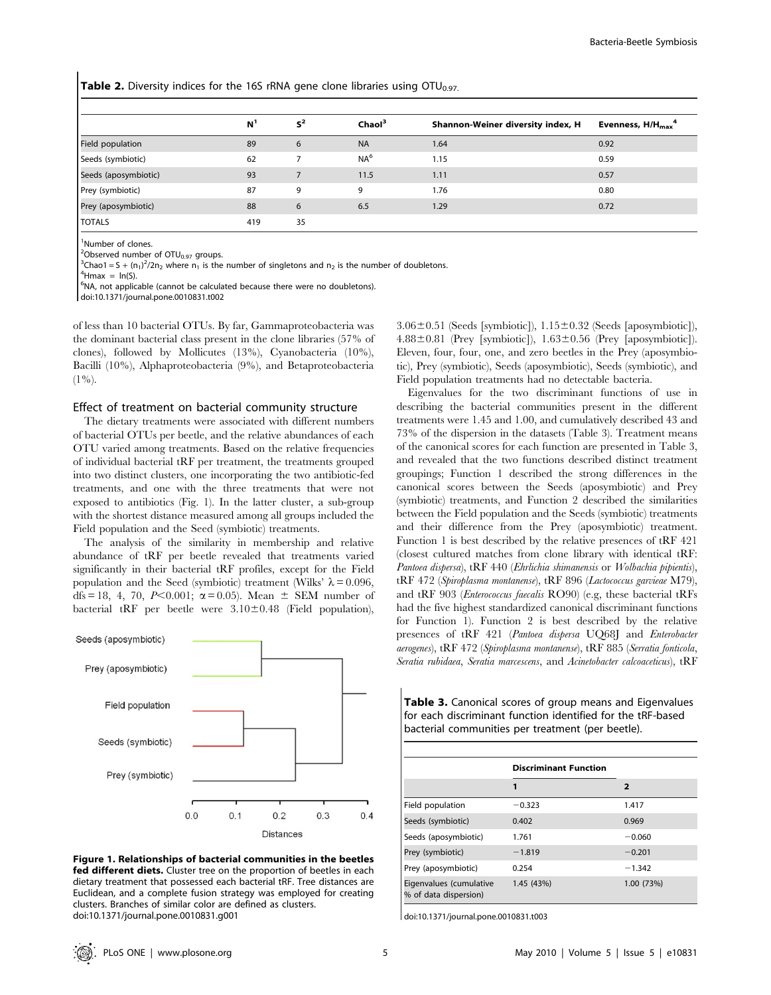**Table 2.** Diversity indices for the 16S rRNA gene clone libraries using  $OTU_{0.97}$ .

|                      | N <sup>1</sup> | $S^2$ | Chaol <sup>3</sup> | Shannon-Weiner diversity index, H | Evenness, $H/H_{\text{max}}^4$ |
|----------------------|----------------|-------|--------------------|-----------------------------------|--------------------------------|
| Field population     | 89             | 6     | <b>NA</b>          | 1.64                              | 0.92                           |
| Seeds (symbiotic)    | 62             |       | NA <sup>6</sup>    | 1.15                              | 0.59                           |
| Seeds (aposymbiotic) | 93             |       | 11.5               | 1.11                              | 0.57                           |
| Prey (symbiotic)     | 87             | 9     | 9                  | 1.76                              | 0.80                           |
| Prey (aposymbiotic)  | 88             | 6     | 6.5                | 1.29                              | 0.72                           |
| <b>TOTALS</b>        | 419            | 35    |                    |                                   |                                |

<sup>1</sup>Number of clones.

<sup>2</sup>Observed number of OTU<sub>0.97</sub> groups.<br><sup>3</sup>Chao1 – S + (n )<sup>2</sup>/2n, where n, is the

 $^3$ Chao1 = S + (n<sub>1</sub>)<sup>2</sup>/2n<sub>2</sub> where n<sub>1</sub> is the number of singletons and n<sub>2</sub> is the number of doubletons.<br><sup>4</sup>Hmax = ln<sup>(S)</sup>

 $4$ Hmax =  $ln(S)$ .

<sup>6</sup>NA, not applicable (cannot be calculated because there were no doubletons).

doi:10.1371/journal.pone.0010831.t002

of less than 10 bacterial OTUs. By far, Gammaproteobacteria was the dominant bacterial class present in the clone libraries (57% of clones), followed by Mollicutes (13%), Cyanobacteria (10%), Bacilli (10%), Alphaproteobacteria (9%), and Betaproteobacteria  $(1\%)$ .

#### Effect of treatment on bacterial community structure

The dietary treatments were associated with different numbers of bacterial OTUs per beetle, and the relative abundances of each OTU varied among treatments. Based on the relative frequencies of individual bacterial tRF per treatment, the treatments grouped into two distinct clusters, one incorporating the two antibiotic-fed treatments, and one with the three treatments that were not exposed to antibiotics (Fig. 1). In the latter cluster, a sub-group with the shortest distance measured among all groups included the Field population and the Seed (symbiotic) treatments.

The analysis of the similarity in membership and relative abundance of tRF per beetle revealed that treatments varied significantly in their bacterial tRF profiles, except for the Field population and the Seed (symbiotic) treatment (Wilks'  $\lambda = 0.096$ , dfs = 18, 4, 70, P<0.001;  $\alpha$  = 0.05). Mean  $\pm$  SEM number of bacterial tRF per beetle were  $3.10\pm0.48$  (Field population),



Figure 1. Relationships of bacterial communities in the beetles fed different diets. Cluster tree on the proportion of beetles in each dietary treatment that possessed each bacterial tRF. Tree distances are Euclidean, and a complete fusion strategy was employed for creating clusters. Branches of similar color are defined as clusters. doi:10.1371/journal.pone.0010831.g001

 $3.06\pm0.51$  (Seeds [symbiotic]),  $1.15\pm0.32$  (Seeds [aposymbiotic]),  $4.88\pm0.81$  (Prey [symbiotic]),  $1.63\pm0.56$  (Prey [aposymbiotic]). Eleven, four, four, one, and zero beetles in the Prey (aposymbiotic), Prey (symbiotic), Seeds (aposymbiotic), Seeds (symbiotic), and Field population treatments had no detectable bacteria.

Eigenvalues for the two discriminant functions of use in describing the bacterial communities present in the different treatments were 1.45 and 1.00, and cumulatively described 43 and 73% of the dispersion in the datasets (Table 3). Treatment means of the canonical scores for each function are presented in Table 3, and revealed that the two functions described distinct treatment groupings; Function 1 described the strong differences in the canonical scores between the Seeds (aposymbiotic) and Prey (symbiotic) treatments, and Function 2 described the similarities between the Field population and the Seeds (symbiotic) treatments and their difference from the Prey (aposymbiotic) treatment. Function 1 is best described by the relative presences of tRF 421 (closest cultured matches from clone library with identical tRF: Pantoea dispersa), tRF 440 (Ehrlichia shimanensis or Wolbachia pipientis), tRF 472 (Spiroplasma montanense), tRF 896 (Lactococcus garvieae M79), and tRF 903 (Enterococcus faecalis RO90) (e.g, these bacterial tRFs had the five highest standardized canonical discriminant functions for Function 1). Function 2 is best described by the relative presences of tRF 421 (Pantoea dispersa UQ68J and Enterobacter aerogenes), tRF 472 (Spiroplasma montanense), tRF 885 (Serratia fonticola, Seratia rubidaea, Seratia marcescens, and Acinetobacter calcoaceticus), tRF

Table 3. Canonical scores of group means and Eigenvalues for each discriminant function identified for the tRF-based bacterial communities per treatment (per beetle).

Discriminant Function

|                                                  | 1          | 2          |
|--------------------------------------------------|------------|------------|
| Field population                                 | $-0.323$   | 1.417      |
| Seeds (symbiotic)                                | 0.402      | 0.969      |
| Seeds (aposymbiotic)                             | 1.761      | $-0.060$   |
| Prey (symbiotic)                                 | $-1.819$   | $-0.201$   |
| Prey (aposymbiotic)                              | 0.254      | $-1.342$   |
| Eigenvalues (cumulative<br>% of data dispersion) | 1.45 (43%) | 1.00 (73%) |

doi:10.1371/journal.pone.0010831.t003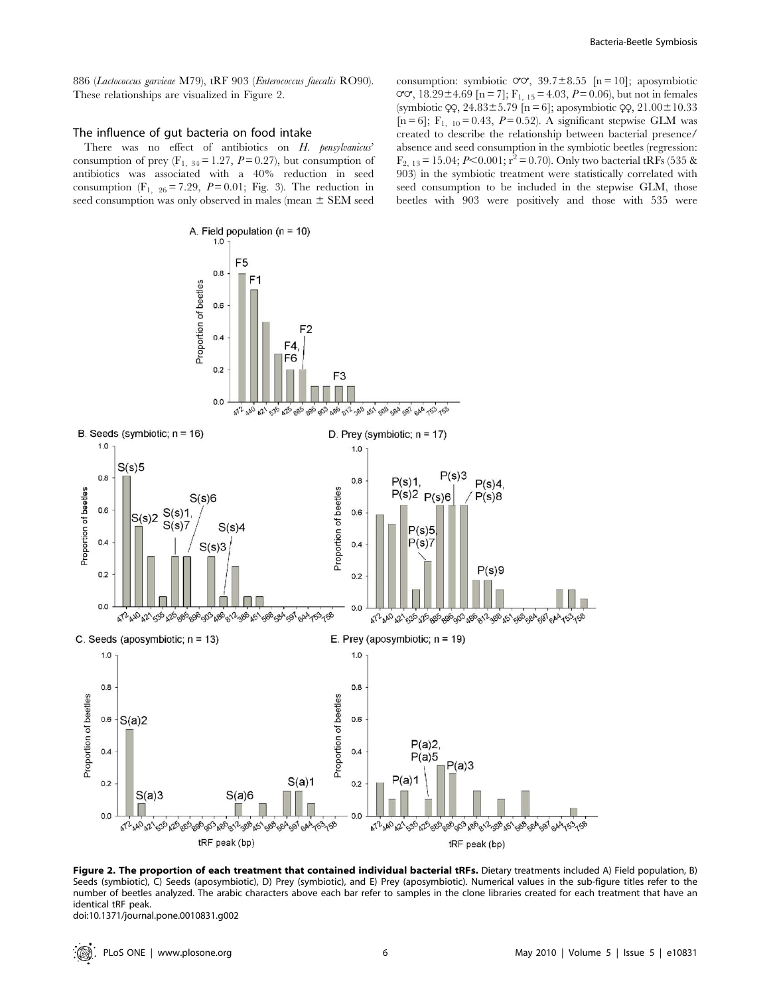## The influence of gut bacteria on food intake

There was no effect of antibiotics on H. pensylvanicus' consumption of prey  $(F_{1, 34} = 1.27, P = 0.27)$ , but consumption of antibiotics was associated with a 40% reduction in seed consumption (F<sub>1, 26</sub> = 7.29, P = 0.01; Fig. 3). The reduction in seed consumption was only observed in males (mean  $\pm$  SEM seed

 $1.0$ 

 $0.8$ 

0.6

 $0.4$ 

 $0<sub>2</sub>$ 

 $0<sub>0</sub>$ 

 $S(s)6$ 

 $S(s)3$ 

 $S(s)4$ 

472 440 421 535 425 885 896 903 486 812 988 451 588 584 591 644 553 758

 $S(a)6$ 

003 186 012 186 15

tRF peak (bp)

 $S(s)1$ 

 $S(s)$ 

Proportion of beetles

B. Seeds (symbiotic;  $n = 16$ )

 $S(s)2$ 

C. Seeds (aposymbiotic;  $n = 13$ )

 $S(s)5$ 

 $1.0$ 

 $0.8$ 

0.6

 $04$ 

 $0.2$ 

 $0<sub>0</sub>$ 

 $1.0$ 

 $0.8$ 

 $0.4$ 

 $0.2$ 

 $0.0$ 

 $0.6 - S(a)2$ 

Proportion of beetles

Proportion of beetles

consumption: symbiotic  $\sigma\sigma$ , 39.7 $\pm$ 8.55 [n = 10]; aposymbiotic  $\sigma$ , 18.29±4.69 [n = 7]; F<sub>1, 15</sub> = 4.03, P = 0.06), but not in females (symbiotic  $\varphi$ , 24.83±5.79 [n = 6]; aposymbiotic  $\varphi$ , 21.00±10.33 [n = 6];  $F_{1, 10} = 0.43$ ,  $P = 0.52$ ). A significant stepwise GLM was created to describe the relationship between bacterial presence/ absence and seed consumption in the symbiotic beetles (regression:  $F_{2, 13} = 15.04; P< 0.001; r^2 = 0.70$ . Only two bacterial tRFs (535 & 903) in the symbiotic treatment were statistically correlated with seed consumption to be included in the stepwise GLM, those beetles with 903 were positively and those with 535 were



 $P(s)5$ 

 $P(s)$ 

 $P(a)2$ 

 $P(a)5$ 

 $P(a)1$ 

 $P(a)3$ 

47 440 421 526 426 586 596 509 486 512 589 451 586 581 596 596

tRF peak (bp)

E. Prey (aposymbiotic;  $n = 19$ )

 $P(s)9$ 

47240 42 535 425 886 896 903 486 81 388 451 588 584 591 644 53 58



doi:10.1371/journal.pone.0010831.g002

 $S(a)3$ 

472 440 421 535 425

identical tRF peak.

Figure 2. The proportion of each treatment that contained individual bacterial tRFs. Dietary treatments included A) Field population, B) Seeds (symbiotic), C) Seeds (aposymbiotic), D) Prey (symbiotic), and E) Prey (aposymbiotic). Numerical values in the sub-figure titles refer to the number of beetles analyzed. The arabic characters above each bar refer to samples in the clone libraries created for each treatment that have an

 $06$ 

 $0.4$ 

 $0<sub>2</sub>$ 

 $0.0$ 

 $1.0$ 

0.8

0.6

 $0.4$ 

 $0.2$ 

 $0.0$ 

Proportion of beetles

153158

 $S(a)1$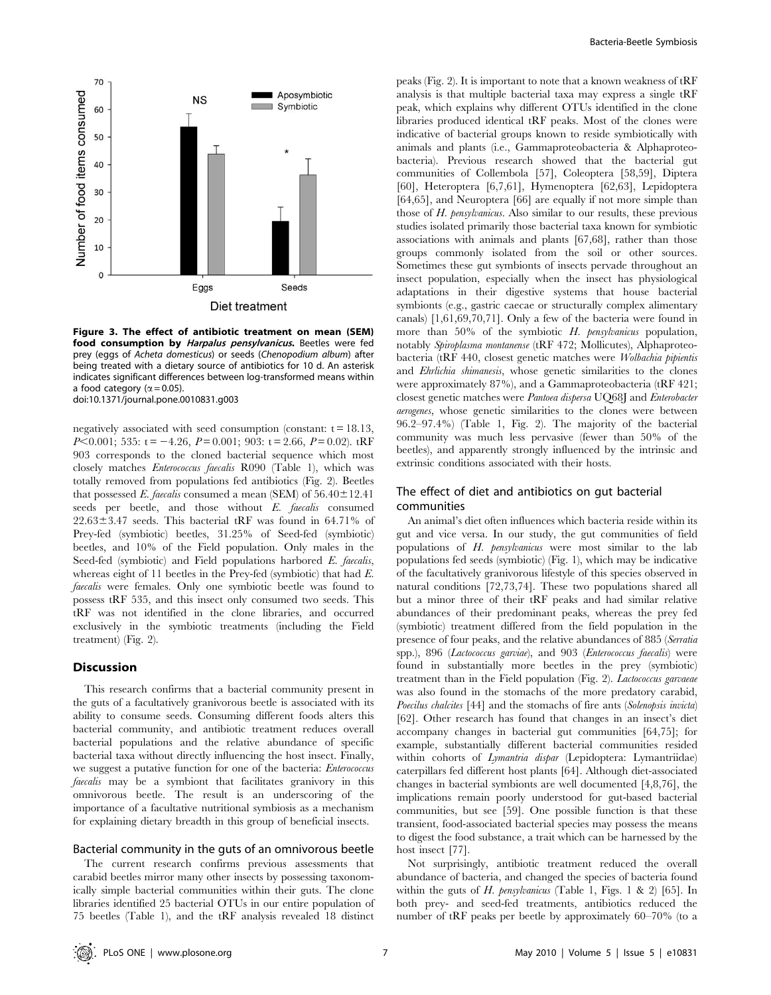

Figure 3. The effect of antibiotic treatment on mean (SEM) food consumption by Harpalus pensylvanicus. Beetles were fed prey (eggs of Acheta domesticus) or seeds (Chenopodium album) after being treated with a dietary source of antibiotics for 10 d. An asterisk indicates significant differences between log-transformed means within a food category ( $\alpha$  = 0.05). doi:10.1371/journal.pone.0010831.g003

negatively associated with seed consumption (constant:  $t = 18.13$ ,  $P<0.001$ ; 535: t = -4.26,  $P=0.001$ ; 903: t = 2.66,  $P=0.02$ ). tRF 903 corresponds to the cloned bacterial sequence which most closely matches Enterococcus faecalis R090 (Table 1), which was totally removed from populations fed antibiotics (Fig. 2). Beetles that possessed E. faecalis consumed a mean (SEM) of  $56.40 \pm 12.41$ seeds per beetle, and those without E. faecalis consumed  $22.63\pm3.47$  seeds. This bacterial tRF was found in 64.71% of Prey-fed (symbiotic) beetles, 31.25% of Seed-fed (symbiotic) beetles, and 10% of the Field population. Only males in the Seed-fed (symbiotic) and Field populations harbored E. faecalis, whereas eight of 11 beetles in the Prey-fed (symbiotic) that had E. faecalis were females. Only one symbiotic beetle was found to possess tRF 535, and this insect only consumed two seeds. This tRF was not identified in the clone libraries, and occurred exclusively in the symbiotic treatments (including the Field treatment) (Fig. 2).

## Discussion

This research confirms that a bacterial community present in the guts of a facultatively granivorous beetle is associated with its ability to consume seeds. Consuming different foods alters this bacterial community, and antibiotic treatment reduces overall bacterial populations and the relative abundance of specific bacterial taxa without directly influencing the host insect. Finally, we suggest a putative function for one of the bacteria: Enterococcus faecalis may be a symbiont that facilitates granivory in this omnivorous beetle. The result is an underscoring of the importance of a facultative nutritional symbiosis as a mechanism for explaining dietary breadth in this group of beneficial insects.

## Bacterial community in the guts of an omnivorous beetle

The current research confirms previous assessments that carabid beetles mirror many other insects by possessing taxonomically simple bacterial communities within their guts. The clone libraries identified 25 bacterial OTUs in our entire population of 75 beetles (Table 1), and the tRF analysis revealed 18 distinct peaks (Fig. 2). It is important to note that a known weakness of tRF analysis is that multiple bacterial taxa may express a single tRF peak, which explains why different OTUs identified in the clone libraries produced identical tRF peaks. Most of the clones were indicative of bacterial groups known to reside symbiotically with animals and plants (i.e., Gammaproteobacteria & Alphaproteobacteria). Previous research showed that the bacterial gut communities of Collembola [57], Coleoptera [58,59], Diptera [60], Heteroptera [6,7,61], Hymenoptera [62,63], Lepidoptera [64,65], and Neuroptera [66] are equally if not more simple than those of H. pensylvanicus. Also similar to our results, these previous studies isolated primarily those bacterial taxa known for symbiotic associations with animals and plants [67,68], rather than those groups commonly isolated from the soil or other sources. Sometimes these gut symbionts of insects pervade throughout an insect population, especially when the insect has physiological adaptations in their digestive systems that house bacterial symbionts (e.g., gastric caecae or structurally complex alimentary canals) [1,61,69,70,71]. Only a few of the bacteria were found in more than  $50\%$  of the symbiotic H. pensylvanicus population, notably Spiroplasma montanense (tRF 472; Mollicutes), Alphaproteobacteria (tRF 440, closest genetic matches were Wolbachia pipientis and Ehrlichia shimanesis, whose genetic similarities to the clones were approximately 87%), and a Gammaproteobacteria (tRF 421; closest genetic matches were Pantoea dispersa UQ68J and Enterobacter aerogenes, whose genetic similarities to the clones were between 96.2–97.4%) (Table 1, Fig. 2). The majority of the bacterial community was much less pervasive (fewer than 50% of the beetles), and apparently strongly influenced by the intrinsic and extrinsic conditions associated with their hosts.

# The effect of diet and antibiotics on gut bacterial communities

An animal's diet often influences which bacteria reside within its gut and vice versa. In our study, the gut communities of field populations of H. pensylvanicus were most similar to the lab populations fed seeds (symbiotic) (Fig. 1), which may be indicative of the facultatively granivorous lifestyle of this species observed in natural conditions [72,73,74]. These two populations shared all but a minor three of their tRF peaks and had similar relative abundances of their predominant peaks, whereas the prey fed (symbiotic) treatment differed from the field population in the presence of four peaks, and the relative abundances of 885 (Serratia spp.), 896 (Lactococcus garviae), and 903 (Enterococcus faecalis) were found in substantially more beetles in the prey (symbiotic) treatment than in the Field population (Fig. 2). Lactococcus garvaeae was also found in the stomachs of the more predatory carabid, Poecilus chalcites [44] and the stomachs of fire ants (Solenopsis invicta) [62]. Other research has found that changes in an insect's diet accompany changes in bacterial gut communities [64,75]; for example, substantially different bacterial communities resided within cohorts of *Lymantria dispar* (Lepidoptera: Lymantriidae) caterpillars fed different host plants [64]. Although diet-associated changes in bacterial symbionts are well documented [4,8,76], the implications remain poorly understood for gut-based bacterial communities, but see [59]. One possible function is that these transient, food-associated bacterial species may possess the means to digest the food substance, a trait which can be harnessed by the host insect [77].

Not surprisingly, antibiotic treatment reduced the overall abundance of bacteria, and changed the species of bacteria found within the guts of  $H$ . pensylvanicus (Table 1, Figs. 1 & 2) [65]. In both prey- and seed-fed treatments, antibiotics reduced the number of tRF peaks per beetle by approximately 60–70% (to a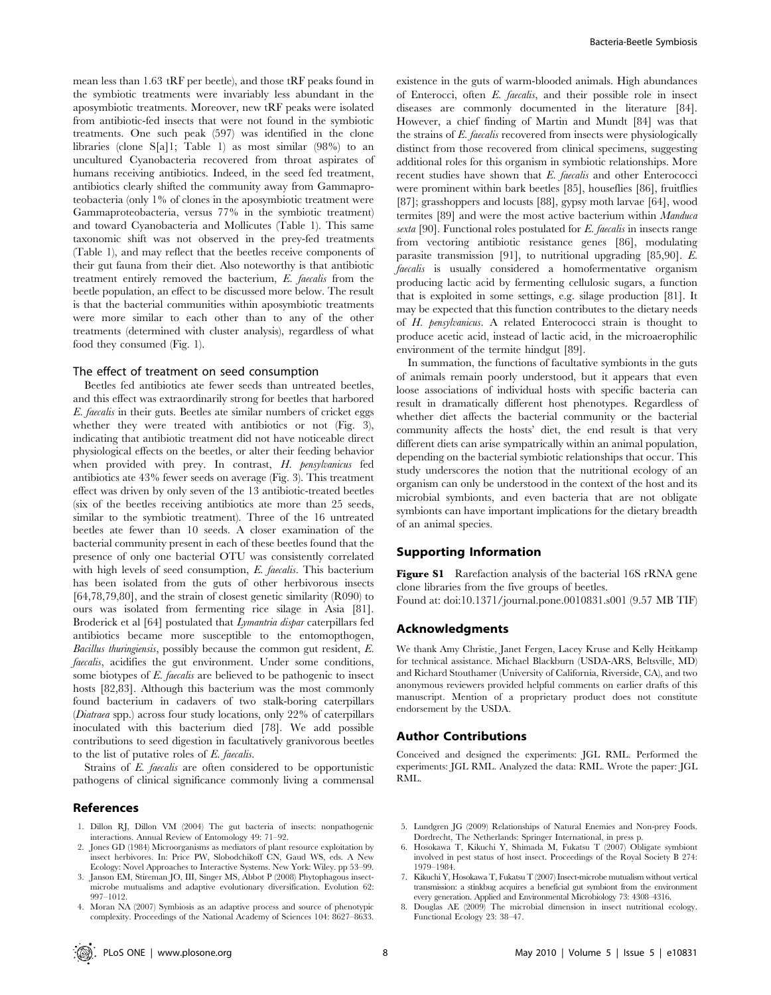mean less than 1.63 tRF per beetle), and those tRF peaks found in the symbiotic treatments were invariably less abundant in the aposymbiotic treatments. Moreover, new tRF peaks were isolated from antibiotic-fed insects that were not found in the symbiotic treatments. One such peak (597) was identified in the clone libraries (clone S[a]1; Table 1) as most similar (98%) to an uncultured Cyanobacteria recovered from throat aspirates of humans receiving antibiotics. Indeed, in the seed fed treatment, antibiotics clearly shifted the community away from Gammaproteobacteria (only 1% of clones in the aposymbiotic treatment were Gammaproteobacteria, versus 77% in the symbiotic treatment) and toward Cyanobacteria and Mollicutes (Table 1). This same taxonomic shift was not observed in the prey-fed treatments (Table 1), and may reflect that the beetles receive components of their gut fauna from their diet. Also noteworthy is that antibiotic treatment entirely removed the bacterium, E. faecalis from the beetle population, an effect to be discussed more below. The result is that the bacterial communities within aposymbiotic treatments were more similar to each other than to any of the other treatments (determined with cluster analysis), regardless of what food they consumed (Fig. 1).

## The effect of treatment on seed consumption

Beetles fed antibiotics ate fewer seeds than untreated beetles, and this effect was extraordinarily strong for beetles that harbored E. faecalis in their guts. Beetles ate similar numbers of cricket eggs whether they were treated with antibiotics or not (Fig. 3), indicating that antibiotic treatment did not have noticeable direct physiological effects on the beetles, or alter their feeding behavior when provided with prey. In contrast, H. pensylvanicus fed antibiotics ate 43% fewer seeds on average (Fig. 3). This treatment effect was driven by only seven of the 13 antibiotic-treated beetles (six of the beetles receiving antibiotics ate more than 25 seeds, similar to the symbiotic treatment). Three of the 16 untreated beetles ate fewer than 10 seeds. A closer examination of the bacterial community present in each of these beetles found that the presence of only one bacterial OTU was consistently correlated with high levels of seed consumption, E. faecalis. This bacterium has been isolated from the guts of other herbivorous insects [64,78,79,80], and the strain of closest genetic similarity (R090) to ours was isolated from fermenting rice silage in Asia [81]. Broderick et al [64] postulated that Lymantria dispar caterpillars fed antibiotics became more susceptible to the entomopthogen, Bacillus thuringiensis, possibly because the common gut resident, E. faecalis, acidifies the gut environment. Under some conditions, some biotypes of E. faecalis are believed to be pathogenic to insect hosts [82,83]. Although this bacterium was the most commonly found bacterium in cadavers of two stalk-boring caterpillars (Diatraea spp.) across four study locations, only 22% of caterpillars inoculated with this bacterium died [78]. We add possible contributions to seed digestion in facultatively granivorous beetles to the list of putative roles of E. faecalis.

Strains of E. faecalis are often considered to be opportunistic pathogens of clinical significance commonly living a commensal

#### References

- 1. Dillon RJ, Dillon VM (2004) The gut bacteria of insects: nonpathogenic interactions. Annual Review of Entomology 49: 71–92.
- 2. Jones GD (1984) Microorganisms as mediators of plant resource exploitation by insect herbivores. In: Price PW, Slobodchikoff CN, Gaud WS, eds. A New Ecology: Novel Approaches to Interactive Systems. New York: Wiley. pp 53–99.
- 3. Janson EM, Stireman JO, III, Singer MS, Abbot P (2008) Phytophagous insectmicrobe mutualisms and adaptive evolutionary diversification. Evolution 62: 997–1012.
- 4. Moran NA (2007) Symbiosis as an adaptive process and source of phenotypic complexity. Proceedings of the National Academy of Sciences 104: 8627–8633.

existence in the guts of warm-blooded animals. High abundances of Enterocci, often E. faecalis, and their possible role in insect diseases are commonly documented in the literature [84]. However, a chief finding of Martin and Mundt [84] was that the strains of E. faecalis recovered from insects were physiologically distinct from those recovered from clinical specimens, suggesting additional roles for this organism in symbiotic relationships. More recent studies have shown that E. faecalis and other Enterococci were prominent within bark beetles [85], houseflies [86], fruitflies [87]; grasshoppers and locusts [88], gypsy moth larvae [64], wood termites [89] and were the most active bacterium within Manduca sexta [90]. Functional roles postulated for E. faecalis in insects range from vectoring antibiotic resistance genes [86], modulating parasite transmission [91], to nutritional upgrading [85,90]. E. faecalis is usually considered a homofermentative organism producing lactic acid by fermenting cellulosic sugars, a function that is exploited in some settings, e.g. silage production [81]. It may be expected that this function contributes to the dietary needs of H. pensylvanicus. A related Enterococci strain is thought to produce acetic acid, instead of lactic acid, in the microaerophilic environment of the termite hindgut [89].

In summation, the functions of facultative symbionts in the guts of animals remain poorly understood, but it appears that even loose associations of individual hosts with specific bacteria can result in dramatically different host phenotypes. Regardless of whether diet affects the bacterial community or the bacterial community affects the hosts' diet, the end result is that very different diets can arise sympatrically within an animal population, depending on the bacterial symbiotic relationships that occur. This study underscores the notion that the nutritional ecology of an organism can only be understood in the context of the host and its microbial symbionts, and even bacteria that are not obligate symbionts can have important implications for the dietary breadth of an animal species.

#### Supporting Information

Figure S1 Rarefaction analysis of the bacterial 16S rRNA gene clone libraries from the five groups of beetles.

Found at: doi:10.1371/journal.pone.0010831.s001 (9.57 MB TIF)

## Acknowledgments

We thank Amy Christie, Janet Fergen, Lacey Kruse and Kelly Heitkamp for technical assistance. Michael Blackburn (USDA-ARS, Beltsville, MD) and Richard Stouthamer (University of California, Riverside, CA), and two anonymous reviewers provided helpful comments on earlier drafts of this manuscript. Mention of a proprietary product does not constitute endorsement by the USDA.

#### Author Contributions

Conceived and designed the experiments: JGL RML. Performed the experiments: JGL RML. Analyzed the data: RML. Wrote the paper: JGL RML.

- 5. Lundgren JG (2009) Relationships of Natural Enemies and Non-prey Foods. Dordrecht, The Netherlands: Springer International, in press p.
- 6. Hosokawa T, Kikuchi Y, Shimada M, Fukatsu T (2007) Obligate symbiont involved in pest status of host insect. Proceedings of the Royal Society B 274: 1979–1984.
- 7. Kikuchi Y, Hosokawa T, Fukatsu T (2007) Insect-microbe mutualism without vertical transmission: a stinkbug acquires a beneficial gut symbiont from the environment every generation. Applied and Environmental Microbiology 73: 4308–4316.
- 8. Douglas AE (2009) The microbial dimension in insect nutritional ecology. Functional Ecology 23: 38–47.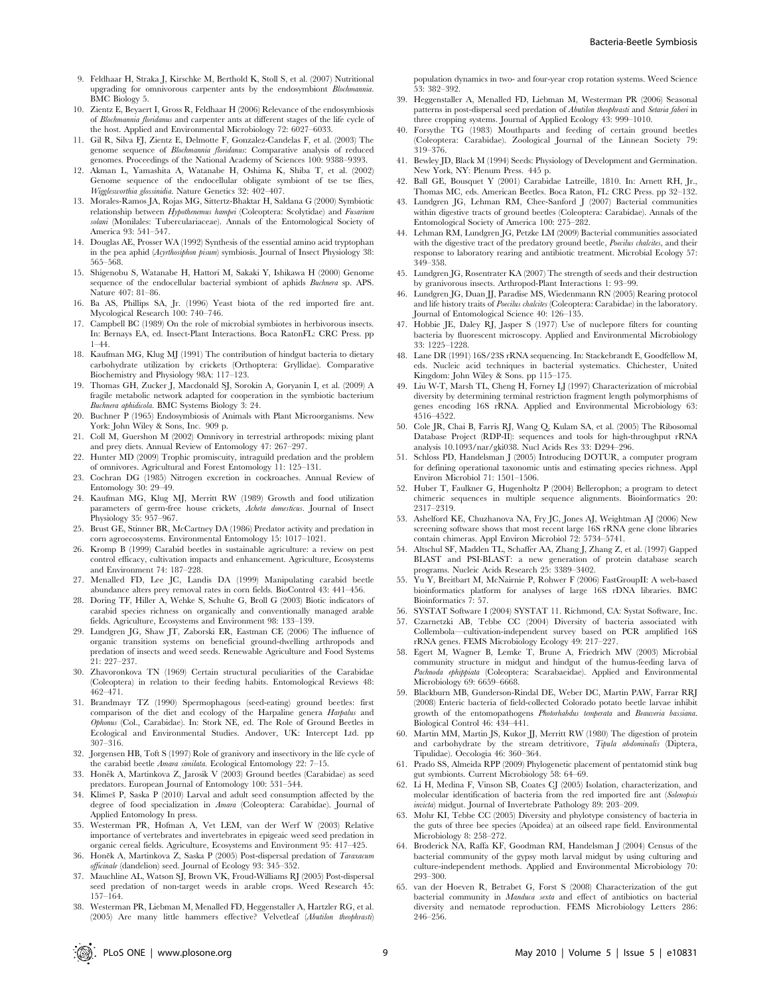- 9. Feldhaar H, Straka J, Kirschke M, Berthold K, Stoll S, et al. (2007) Nutritional upgrading for omnivorous carpenter ants by the endosymbiont Blochmannia. BMC Biology 5.
- 10. Zientz E, Beyaert I, Gross R, Feldhaar H (2006) Relevance of the endosymbiosis of Blochmannia floridanus and carpenter ants at different stages of the life cycle of the host. Applied and Environmental Microbiology 72: 6027–6033.
- 11. Gil R, Silva FJ, Zientz E, Delmotte F, Gonzalez-Candelas F, et al. (2003) The genome sequence of Blochmannia floridanus: Comparative analysis of reduced genomes. Proceedings of the National Academy of Sciences 100: 9388–9393.
- 12. Akman L, Yamashita A, Watanabe H, Oshima K, Shiba T, et al. (2002) Genome sequence of the endocellular obligate symbiont of tse tse flies, Wigglesworthia glossinidia. Nature Genetics 32: 402–407.
- 13. Morales-Ramos JA, Rojas MG, Sittertz-Bhaktar H, Saldana G (2000) Symbiotic relationship between  $\check{H}$ ypothenemus hampei (Coleoptera: Scolytidae) and Fusariu solani (Monilales: Tuberculariaceae). Annals of the Entomological Society of America 93: 541–547.
- 14. Douglas AE, Prosser WA (1992) Synthesis of the essential amino acid tryptophan in the pea aphid (Acyrthosiphon pisum) symbiosis. Journal of Insect Physiology 38: 565–568.
- 15. Shigenobu S, Watanabe H, Hattori M, Sakaki Y, Ishikawa H (2000) Genome sequence of the endocellular bacterial symbiont of aphids Buchnera sp. APS. Nature 407: 81–86.
- 16. Ba AS, Phillips SA, Jr. (1996) Yeast biota of the red imported fire ant. Mycological Research 100: 740–746.
- 17. Campbell BC (1989) On the role of microbial symbiotes in herbivorous insects. In: Bernays EA, ed. Insect-Plant Interactions. Boca RatonFL: CRC Press. pp 1–44.
- 18. Kaufman MG, Klug MJ (1991) The contribution of hindgut bacteria to dietary carbohydrate utilization by crickets (Orthoptera: Gryllidae). Comparative Biochemistry and Physiology 98A: 117–123.
- 19. Thomas GH, Zucker J, Macdonald SJ, Sorokin A, Goryanin I, et al. (2009) A fragile metabolic network adapted for cooperation in the symbiotic bacterium Buchnera aphidicola. BMC Systems Biology 3: 24.
- 20. Buchner P (1965) Endosymbiosis of Animals with Plant Microorganisms. New York: John Wiley & Sons, Inc. 909 p.
- 21. Coll M, Guershon M (2002) Omnivory in terrestrial arthropods: mixing plant and prey diets. Annual Review of Entomology 47: 267–297.
- 22. Hunter MD (2009) Trophic promiscuity, intraguild predation and the problem of omnivores. Agricultural and Forest Entomology 11: 125–131.
- 23. Cochran DG (1985) Nitrogen excretion in cockroaches. Annual Review of Entomology 30: 29–49.
- 24. Kaufman MG, Klug MJ, Merritt RW (1989) Growth and food utilization parameters of germ-free house crickets, Acheta domesticus. Journal of Insect Physiology 35: 957–967.
- 25. Brust GE, Stinner BR, McCartney DA (1986) Predator activity and predation in corn agroecosystems. Environmental Entomology 15: 1017–1021.
- 26. Kromp B (1999) Carabid beetles in sustainable agriculture: a review on pest control efficacy, cultivation impacts and enhancement. Agriculture, Ecosystems and Environment 74: 187–228.
- 27. Menalled FD, Lee JC, Landis DA (1999) Manipulating carabid beetle abundance alters prey removal rates in corn fields. BioControl 43: 441–456.
- 28. Doring TF, Hiller A, Wehke S, Schulte G, Broll G (2003) Biotic indicators of carabid species richness on organically and conventionally managed arable fields. Agriculture, Ecosystems and Environment 98: 133–139.
- 29. Lundgren JG, Shaw JT, Zaborski ER, Eastman CE (2006) The influence of organic transition systems on beneficial ground-dwelling arthropods and predation of insects and weed seeds. Renewable Agriculture and Food Systems 21: 227–237.
- 30. Zhavoronkova TN (1969) Certain structural peculiarities of the Carabidae (Coleoptera) in relation to their feeding habits. Entomological Reviews 48: 462–471.
- 31. Brandmayr TZ (1990) Spermophagous (seed-eating) ground beetles: first comparison of the diet and ecology of the Harpaline genera Harpalus and Ophonus (Col., Carabidae). In: Stork NE, ed. The Role of Ground Beetles in Ecological and Environmental Studies. Andover, UK: Intercept Ltd. pp 307–316.
- 32. Jorgensen HB, Toft S (1997) Role of granivory and insectivory in the life cycle of the carabid beetle Amara similata. Ecological Entomology 22: 7–15.
- 33. Honěk A, Martinkova Z, Jarosik V (2003) Ground beetles (Carabidae) as seed predators. European Journal of Entomology 100: 531–544.
- 34. Klimeš P, Saska P (2010) Larval and adult seed consumption affected by the degree of food specialization in Amara (Coleoptera: Carabidae). Journal of Applied Entomology In press.
- 35. Westerman PR, Hofman A, Vet LEM, van der Werf W (2003) Relative importance of vertebrates and invertebrates in epigeaic weed seed predation in organic cereal fields. Agriculture, Ecosystems and Environment 95: 417–425.
- 36. Honěk A, Martinkova Z, Saska P (2005) Post-dispersal predation of Taraxacum officinale (dandelion) seed. Journal of Ecology 93: 345–352.
- 37. Mauchline AL, Watson SJ, Brown VK, Froud-Williams RJ (2005) Post-dispersal seed predation of non-target weeds in arable crops. Weed Research 45: 157–164.
- 38. Westerman PR, Liebman M, Menalled FD, Heggenstaller A, Hartzler RG, et al. (2005) Are many little hammers effective? Velvetleaf (Abutilon theophrasti)

population dynamics in two- and four-year crop rotation systems. Weed Science 53: 382–392.

- 39. Heggenstaller A, Menalled FD, Liebman M, Westerman PR (2006) Seasonal patterns in post-dispersal seed predation of Abutilon theophrasti and Setaria faberi in three cropping systems. Journal of Applied Ecology 43: 999–1010.
- 40. Forsythe TG (1983) Mouthparts and feeding of certain ground beetles (Coleoptera: Carabidae). Zoological Journal of the Linnean Society 79: 319–376.
- 41. Bewley JD, Black M (1994) Seeds: Physiology of Development and Germination. New York, NY: Plenum Press. 445 p.
- 42. Ball GE, Bousquet Y (2001) Carabidae Latreille, 1810. In: Arnett RH, Jr., Thomas MC, eds. American Beetles. Boca Raton, FL: CRC Press. pp 32–132. 43. Lundgren JG, Lehman RM, Chee-Sanford J (2007) Bacterial communities
- within digestive tracts of ground beetles (Coleoptera: Carabidae). Annals of the Entomological Society of America 100: 275–282.
- 44. Lehman RM, Lundgren JG, Petzke LM (2009) Bacterial communities associated with the digestive tract of the predatory ground beetle, *Poecilus chalcites*, and their response to laboratory rearing and antibiotic treatment. Microbial Ecology 57: 349–358.
- 45. Lundgren JG, Rosentrater KA (2007) The strength of seeds and their destruction by granivorous insects. Arthropod-Plant Interactions 1: 93–99.
- 46. Lundgren JG, Duan JJ, Paradise MS, Wiedenmann RN (2005) Rearing protocol and life history traits of Poecilus chalcites (Coleoptera: Carabidae) in the laboratory. Journal of Entomological Science 40: 126–135.
- 47. Hobbie JE, Daley RJ, Jasper S (1977) Use of nuclepore filters for counting bacteria by fluorescent microscopy. Applied and Environmental Microbiology 33: 1225–1228.
- 48. Lane DR (1991) 16S/23S rRNA sequencing. In: Stackebrandt E, Goodfellow M, eds. Nucleic acid techniques in bacterial systematics. Chichester, United Kingdom: John Wiley & Sons. pp 115–175.
- 49. Liu W-T, Marsh TL, Cheng H, Forney LJ (1997) Characterization of microbial diversity by determining terminal restriction fragment length polymorphisms of genes encoding 16S rRNA. Applied and Environmental Microbiology 63: 4516–4522.
- 50. Cole JR, Chai B, Farris RJ, Wang Q, Kulam SA, et al. (2005) The Ribosomal Database Project (RDP-II): sequences and tools for high-throughput rRNA analysis 10.1093/nar/gki038. Nucl Acids Res 33: D294–296.
- 51. Schloss PD, Handelsman J (2005) Introducing DOTUR, a computer program for defining operational taxonomic untis and estimating species richness. Appl Environ Microbiol 71: 1501–1506.
- 52. Huber T, Faulkner G, Hugenholtz P (2004) Bellerophon; a program to detect chimeric sequences in multiple sequence alignments. Bioinformatics 20: 2317–2319.
- 53. Ashelford KE, Chuzhanova NA, Fry JC, Jones AJ, Weightman AJ (2006) New screening software shows that most recent large 16S rRNA gene clone libraries contain chimeras. Appl Environ Microbiol 72: 5734–5741.
- 54. Altschul SF, Madden TL, Schaffer AA, Zhang J, Zhang Z, et al. (1997) Gapped BLAST and PSI-BLAST: a new generation of protein database search programs. Nucleic Acids Research 25: 3389–3402.
- 55. Yu Y, Breitbart M, McNairnie P, Rohwer F (2006) FastGroupII: A web-based bioinformatics platform for analyses of large 16S rDNA libraries. BMC Bioinformatics 7: 57.
- 56. SYSTAT Software I (2004) SYSTAT 11. Richmond, CA: Systat Software, Inc. 57. Czarnetzki AB, Tebbe CC (2004) Diversity of bacteria associated with
- Collembola—cultivation-independent survey based on PCR amplified 16S rRNA genes. FEMS Microbiology Ecology 49: 217–227. 58. Egert M, Wagner B, Lemke T, Brune A, Friedrich MW (2003) Microbial
- community structure in midgut and hindgut of the humus-feeding larva of Pachnoda ephippiata (Coleoptera: Scarabaeidae). Applied and Environmental Microbiology 69: 6659–6668.
- 59. Blackburn MB, Gunderson-Rindal DE, Weber DC, Martin PAW, Farrar RRJ (2008) Enteric bacteria of field-collected Colorado potato beetle larvae inhibit growth of the entomopathogens Photorhabdus temperata and Beauveria bassiana. Biological Control 46: 434–441.
- 60. Martin MM, Martin JS, Kukor JJ, Merritt RW (1980) The digestion of protein and carbohydrate by the stream detritivore, Tipula abdominalis (Diptera, Tipulidae). Oecologia 46: 360–364.
- 61. Prado SS, Almeida RPP (2009) Phylogenetic placement of pentatomid stink bug gut symbionts. Current Microbiology 58: 64–69.
- 62. Li H, Medina F, Vinson SB, Coates CJ (2005) Isolation, characterization, and molecular identification of bacteria from the red imported fire ant (Solenopsis invicta) midgut. Journal of Invertebrate Pathology 89: 203–209.
- 63. Mohr KI, Tebbe CC (2005) Diversity and phylotype consistency of bacteria in the guts of three bee species (Apoidea) at an oilseed rape field. Environmental Microbiology 8: 258-272.
- 64. Broderick NA, Raffa KF, Goodman RM, Handelsman J (2004) Census of the bacterial community of the gypsy moth larval midgut by using culturing and culture-independent methods. Applied and Environmental Microbiology 70: 293–300.
- 65. van der Hoeven R, Betrabet G, Forst S (2008) Characterization of the gut bacterial community in Manduca sexta and effect of antibiotics on bacterial diversity and nematode reproduction. FEMS Microbiology Letters 286: 246–256.